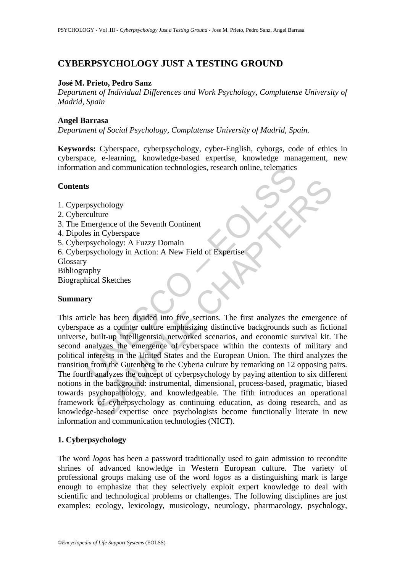# **CYBERPSYCHOLOGY JUST A TESTING GROUND**

## **José M. Prieto, Pedro Sanz**

*Department of Individual Differences and Work Psychology, Complutense University of Madrid, Spain* 

### **Angel Barrasa**

*Department of Social Psychology, Complutense University of Madrid, Spain.* 

**Keywords:** Cyberspace, cyberpsychology, cyber-English, cyborgs, code of ethics in cyberspace, e-learning, knowledge-based expertise, knowledge management, new information and communication technologies, research online, telematics

# **Contents**

- 1. Cyperpsychology
- 2. Cyberculture
- 3. The Emergence of the Seventh Continent
- 4. Dipoles in Cyberspace
- 5. Cyberpsychology: A Fuzzy Domain
- 6. Cyberpsychology in Action: A New Field of Expertise
- **Glossary**
- Bibliography
- Biographical Sketches

### **Summary**

UNESCO – EOLSS exploded the Seventh Continent<br>
in Cyberspace<br>
Iture<br>
regence of the Seventh Continent<br>
in Cyberspace<br>
verbology in Action: A New Field of Expertise<br>
expertise<br>
by<br>
thy<br>
al Sketches<br>
es has been divided into five sections. This article has been divided into five sections. The first analyzes the emergence of cyberspace as a counter culture emphasizing distinctive backgrounds such as fictional universe, built-up intelligentsia, networked scenarios, and economic survival kit. The second analyzes the emergence of cyberspace within the contexts of military and political interests in the United States and the European Union. The third analyzes the transition from the Gutenberg to the Cyberia culture by remarking on 12 opposing pairs. The fourth analyzes the concept of cyberpsychology by paying attention to six different notions in the background: instrumental, dimensional, process-based, pragmatic, biased towards psychopathology, and knowledgeable. The fifth introduces an operational framework of cyberpsychology as continuing education, as doing research, and as knowledge-based expertise once psychologists become functionally literate in new information and communication technologies (NICT).

# **1. Cyberpsychology**

The word *logos* has been a password traditionally used to gain admission to recondite shrines of advanced knowledge in Western European culture. The variety of professional groups making use of the word *logos* as a distinguishing mark is large enough to emphasize that they selectively exploit expert knowledge to deal with scientific and technological problems or challenges. The following disciplines are just examples: ecology, lexicology, musicology, neurology, pharmacology, psychology,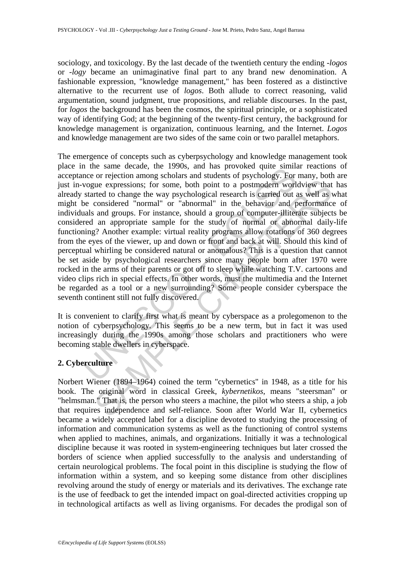sociology, and toxicology. By the last decade of the twentieth century the ending *-logos* or *-logy* became an unimaginative final part to any brand new denomination. A fashionable expression, "knowledge management," has been fostered as a distinctive alternative to the recurrent use of *logos*. Both allude to correct reasoning, valid argumentation, sound judgment, true propositions, and reliable discourses. In the past, for *logos* the background has been the cosmos, the spiritual principle, or a sophisticated way of identifying God; at the beginning of the twenty-first century, the background for knowledge management is organization, continuous learning, and the Internet. *Logos* and knowledge management are two sides of the same coin or two parallel metaphors.

The same textacle, the 1990s, and has provoked quite similar encorrelation among scholars and students of psychology. For voyaue expressions; for some, both point to a postmodern worl-<br>started to change the way psychologic use expressions; for some, both point to a postmodern worldview that<br>red to change the way psychological research is carried out as well as<br>considered "normal" or "abnormal" in the behavior and performance<br>and groups. For The emergence of concepts such as cyberpsychology and knowledge management took place in the same decade, the 1990s, and has provoked quite similar reactions of acceptance or rejection among scholars and students of psychology. For many, both are just in-vogue expressions; for some, both point to a postmodern worldview that has already started to change the way psychological research is carried out as well as what might be considered "normal" or "abnormal" in the behavior and performance of individuals and groups. For instance, should a group of computer-illiterate subjects be considered an appropriate sample for the study of normal or abnormal daily-life functioning? Another example: virtual reality programs allow rotations of 360 degrees from the eyes of the viewer, up and down or front and back at will. Should this kind of perceptual whirling be considered natural or anomalous? This is a question that cannot be set aside by psychological researchers since many people born after 1970 were rocked in the arms of their parents or got off to sleep while watching T.V. cartoons and video clips rich in special effects. In other words, must the multimedia and the Internet be regarded as a tool or a new surrounding? Some people consider cyberspace the seventh continent still not fully discovered.

It is convenient to clarify first what is meant by cyberspace as a prolegomenon to the notion of cyberpsychology. This seems to be a new term, but in fact it was used increasingly during the 1990s among those scholars and practitioners who were becoming stable dwellers in cyberspace.

# **2. Cyberculture**

Norbert Wiener (1894–1964) coined the term "cybernetics" in 1948, as a title for his book. The original word in classical Greek, *kybernetikos*, means "steersman" or "helmsman." That is, the person who steers a machine, the pilot who steers a ship, a job that requires independence and self-reliance. Soon after World War II, cybernetics became a widely accepted label for a discipline devoted to studying the processing of information and communication systems as well as the functioning of control systems when applied to machines, animals, and organizations. Initially it was a technological discipline because it was rooted in system-engineering techniques but later crossed the borders of science when applied successfully to the analysis and understanding of certain neurological problems. The focal point in this discipline is studying the flow of information within a system, and so keeping some distance from other disciplines revolving around the study of energy or materials and its derivatives. The exchange rate is the use of feedback to get the intended impact on goal-directed activities cropping up in technological artifacts as well as living organisms. For decades the prodigal son of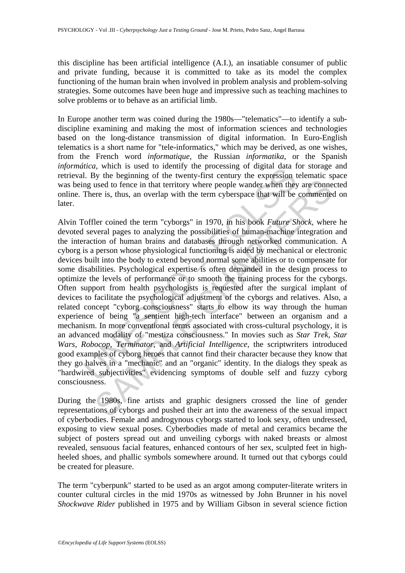this discipline has been artificial intelligence (A.I.), an insatiable consumer of public and private funding, because it is committed to take as its model the complex functioning of the human brain when involved in problem analysis and problem-solving strategies. Some outcomes have been huge and impressive such as teaching machines to solve problems or to behave as an artificial limb.

In Europe another term was coined during the 1980s—"telematics"—to identify a subdiscipline examining and making the most of information sciences and technologies based on the long-distance transmission of digital information. In Euro-English telematics is a short name for "tele-informatics," which may be derived, as one wishes, from the French word *informatique*, the Russian *informatika*, or the Spanish *informática*, which is used to identify the processing of digital data for storage and retrieval. By the beginning of the twenty-first century the expression telematic space was being used to fence in that territory where people wander when they are connected online. There is, thus, an overlap with the term cyberspace that will be commented on later.

*Heal*, wmarri is used to detaining the plocessing of the gapta data i<br>I. By the begining of the twenty-first century the expression tig used to fence in that territory where people wander when they<br>There is, thus, an ove used to fence in that territory where people wander when they are connected used to fence in that territory where people wander when they are connected the term "cyborgs" in 1970, in his book *Future Shock*, where were is, Alvin Toffler coined the term "cyborgs" in 1970, in his book *Future Shock,* where he devoted several pages to analyzing the possibilities of human-machine integration and the interaction of human brains and databases through networked communication. A cyborg is a person whose physiological functioning is aided by mechanical or electronic devices built into the body to extend beyond normal some abilities or to compensate for some disabilities. Psychological expertise is often demanded in the design process to optimize the levels of performance or to smooth the training process for the cyborgs. Often support from health psychologists is requested after the surgical implant of devices to facilitate the psychological adjustment of the cyborgs and relatives. Also, a related concept "cyborg consciousness" starts to elbow its way through the human experience of being "a sentient high-tech interface" between an organism and a mechanism. In more conventional terms associated with cross-cultural psychology, it is an advanced modality of "mestiza consciousness." In movies such as *Star Trek*, *Star Wars*, *Robocop*, *Terminator*, and *Artificial Intelligence*, the scriptwriters introduced good examples of cyborg heroes that cannot find their character because they know that they go halves in a "mechanic" and an "organic" identity. In the dialogs they speak as "hardwired subjectivities" evidencing symptoms of double self and fuzzy cyborg consciousness.

During the 1980s, fine artists and graphic designers crossed the line of gender representations of cyborgs and pushed their art into the awareness of the sexual impact of cyberbodies. Female and androgynous cyborgs started to look sexy, often undressed, exposing to view sexual poses. Cyberbodies made of metal and ceramics became the subject of posters spread out and unveiling cyborgs with naked breasts or almost revealed, sensuous facial features, enhanced contours of her sex, sculpted feet in highheeled shoes, and phallic symbols somewhere around. It turned out that cyborgs could be created for pleasure.

The term "cyberpunk" started to be used as an argot among computer-literate writers in counter cultural circles in the mid 1970s as witnessed by John Brunner in his novel *Shockwave Rider* published in 1975 and by William Gibson in several science fiction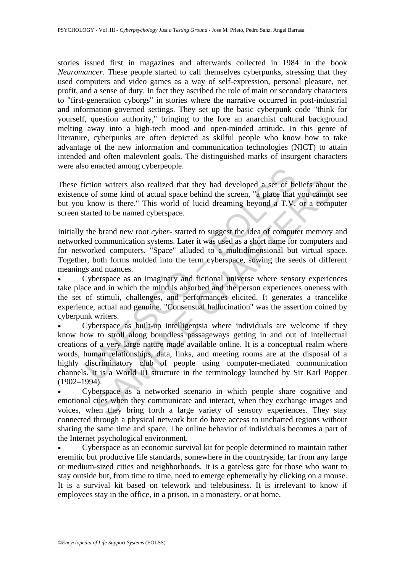stories issued first in magazines and afterwards collected in 1984 in the book *Neuromancer*. These people started to call themselves cyberpunks, stressing that they used computers and video games as a way of self-expression, personal pleasure, net profit, and a sense of duty. In fact they ascribed the role of main or secondary characters to "first-generation cyborgs" in stories where the narrative occurred in post-industrial and information-governed settings. They set up the basic cyberpunk code "think for yourself, question authority," bringing to the fore an anarchist cultural background melting away into a high-tech mood and open-minded attitude. In this genre of literature, cyberpunks are often depicted as skilful people who know how to take advantage of the new information and communication technologies (NICT) to attain intended and often malevolent goals. The distinguished marks of insurgent characters were also enacted among cyberpeople.

These fiction writers also realized that they had developed a set of beliefs about the existence of some kind of actual space behind the screen, "a place that you cannot see but you know is there." This world of lucid dreaming beyond a T.V. or a computer screen started to be named cyberspace.

Initially the brand new root *cyber-* started to suggest the idea of computer memory and networked communication systems. Later it was used as a short name for computers and for networked computers. "Space" alluded to a multidimensional but virtual space. Together, both forms molded into the term cyberspace, sowing the seeds of different meanings and nuances.

• Cyberspace as an imaginary and fictional universe where sensory experiences take place and in which the mind is absorbed and the person experiences oneness with the set of stimuli, challenges, and performances elicited. It generates a trancelike experience, actual and genuine. "Consensual hallucination" was the assertion coined by cyberpunk writers.

iction writers also realized that they had developed a set of be<br>ee of some kind of actual space behind the screen, "a place that<br>know is there." This world of lucid dreaming beyond a T.V.<br>tarted to be named cyberspace.<br>th on writers also realized that they had developed a set of beliefs about<br>of some kind of actual space behind the screen, "a place that you cannot<br>ow is there." This world of lucid dreaming beyond a T.V. or a comp<br>etd to be • Cyberspace as built-up intelligentsia where individuals are welcome if they know how to stroll along boundless passageways getting in and out of intellectual creations of a very large nature made available online. It is a conceptual realm where words, human relationships, data, links, and meeting rooms are at the disposal of a highly discriminatory club of people using computer-mediated communication channels. It is a World III structure in the terminology launched by Sir Karl Popper  $(1902-1994)$ .

• Cyberspace as a networked scenario in which people share cognitive and emotional cues when they communicate and interact, when they exchange images and voices, when they bring forth a large variety of sensory experiences. They stay connected through a physical network but do have access to uncharted regions without sharing the same time and space. The online behavior of individuals becomes a part of the Internet psychological environment.

• Cyberspace as an economic survival kit for people determined to maintain rather eremitic but productive life standards, somewhere in the countryside, far from any large or medium-sized cities and neighborhoods. It is a gateless gate for those who want to stay outside but, from time to time, need to emerge ephemerally by clicking on a mouse. It is a survival kit based on telework and telebusiness. It is irrelevant to know if employees stay in the office, in a prison, in a monastery, or at home.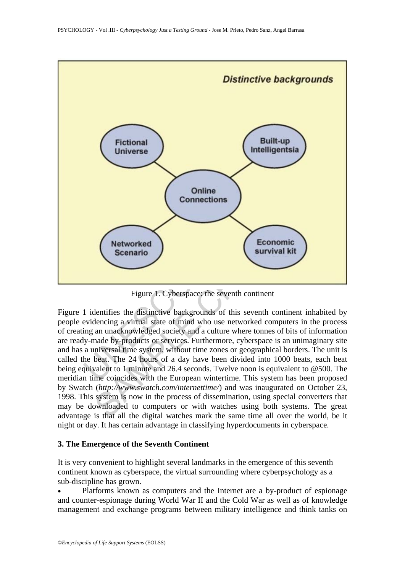

Figure 1. Cyberspace: the seventh continent

Figure 1 identifies the distinctive backgrounds of this seventh continent inhabited by people evidencing a virtual state of mind who use networked computers in the process of creating an unacknowledged society and a culture where tonnes of bits of information are ready-made by-products or services. Furthermore, cyberspace is an unimaginary site and has a universal time system, without time zones or geographical borders. The unit is called the beat. The 24 hours of a day have been divided into 1000 beats, each beat being equivalent to 1 minute and 26.4 seconds. Twelve noon is equivalent to @500. The meridian time coincides with the European wintertime. This system has been proposed by Swatch (*http://www.swatch.com/internettime/*) and was inaugurated on October 23, 1998. This system is now in the process of dissemination, using special converters that may be downloaded to computers or with watches using both systems. The great advantage is that all the digital watches mark the same time all over the world, be it night or day. It has certain advantage in classifying hyperdocuments in cyberspace.

### **3. The Emergence of the Seventh Continent**

It is very convenient to highlight several landmarks in the emergence of this seventh continent known as cyberspace, the virtual surrounding where cyberpsychology as a sub-discipline has grown.

• Platforms known as computers and the Internet are a by-product of espionage and counter-espionage during World War II and the Cold War as well as of knowledge management and exchange programs between military intelligence and think tanks on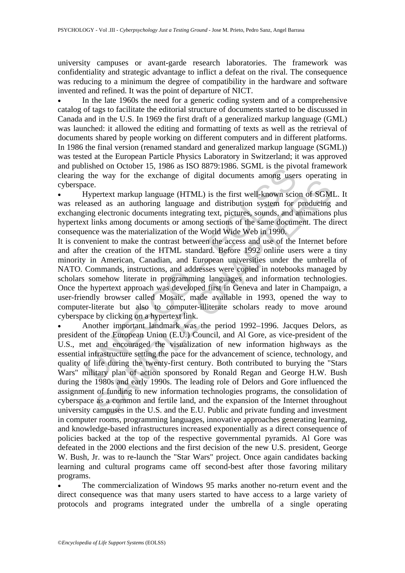university campuses or avant-garde research laboratories. The framework was confidentiality and strategic advantage to inflict a defeat on the rival. The consequence was reducing to a minimum the degree of compatibility in the hardware and software invented and refined. It was the point of departure of NICT.

In the late 1960s the need for a generic coding system and of a comprehensive catalog of tags to facilitate the editorial structure of documents started to be discussed in Canada and in the U.S. In 1969 the first draft of a generalized markup language (GML) was launched: it allowed the editing and formatting of texts as well as the retrieval of documents shared by people working on different computers and in different platforms. In 1986 the final version (renamed standard and generalized markup language (SGML)) was tested at the European Particle Physics Laboratory in Switzerland; it was approved and published on October 15, 1986 as ISO 8879:1986. SGML is the pivotal framework clearing the way for the exchange of digital documents among users operating in cyberspace.

• Hypertext markup language (HTML) is the first well-known scion of SGML. It was released as an authoring language and distribution system for producing and exchanging electronic documents integrating text, pictures, sounds, and animations plus hypertext links among documents or among sections of the same document. The direct consequence was the materialization of the World Wide Web in 1990.

Instinction of the exchange (HTML) is the first momentum interests and Georgian and Georgian and Server are the way for the exchange of digital documents among user are.<br>
Hypertext markup language (HTML) is the first well-It is convenient to make the contrast between the access and use of the Internet before and after the creation of the HTML standard. Before 1992 online users were a tiny minority in American, Canadian, and European universities under the umbrella of NATO. Commands, instructions, and addresses were copied in notebooks managed by scholars somehow literate in programming languages and information technologies. Once the hypertext approach was developed first in Geneva and later in Champaign, a user-friendly browser called Mosaic, made available in 1993, opened the way to computer-literate but also to computer-illiterate scholars ready to move around cyberspace by clicking on a hypertext link.

Fractrian and triangle and distribution system and the U-1900s and the U-1900s des an autoring language (HTML) is the first well-known scion of SGM gelectronic documents integrating text, pictures, sounds, and animations i • Another important landmark was the period 1992–1996. Jacques Delors, as president of the European Union (E.U.) Council, and Al Gore, as vice-president of the U.S., met and encouraged the visualization of new information highways as the essential infrastructure setting the pace for the advancement of science, technology, and quality of life during the twenty-first century. Both contributed to burying the "Stars Wars" military plan of action sponsored by Ronald Regan and George H.W. Bush during the 1980s and early 1990s. The leading role of Delors and Gore influenced the assignment of funding to new information technologies programs, the consolidation of cyberspace as a common and fertile land, and the expansion of the Internet throughout university campuses in the U.S. and the E.U. Public and private funding and investment in computer rooms, programming languages, innovative approaches generating learning, and knowledge-based infrastructures increased exponentially as a direct consequence of policies backed at the top of the respective governmental pyramids. Al Gore was defeated in the 2000 elections and the first decision of the new U.S. president, George W. Bush, Jr. was to re-launch the "Star Wars" project. Once again candidates backing learning and cultural programs came off second-best after those favoring military programs.

• The commercialization of Windows 95 marks another no-return event and the direct consequence was that many users started to have access to a large variety of protocols and programs integrated under the umbrella of a single operating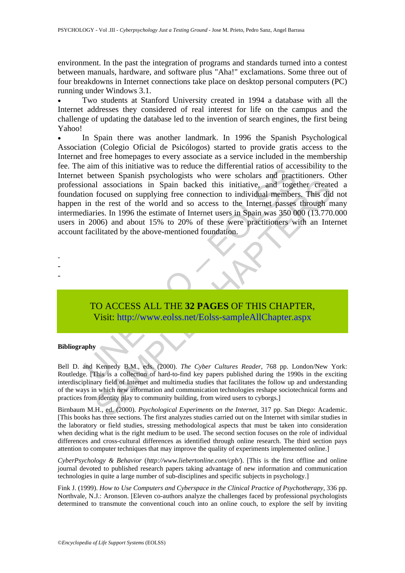environment. In the past the integration of programs and standards turned into a contest between manuals, hardware, and software plus "Aha!" exclamations. Some three out of four breakdowns in Internet connections take place on desktop personal computers (PC) running under Windows 3.1.

Two students at Stanford University created in 1994 a database with all the Internet addresses they considered of real interest for life on the campus and the challenge of updating the database led to the invention of search engines, the first being Yahoo!

e am or uns intractive was to reduce the directional ratios of accounts between Spanish psychologists who were scholars and practional associations in Spain backed this initiative, and togetion focused on supplying free co and associations in Spain backed this initiative, and together create<br>focused on supplying free connection to individual members. This did<br>the rest of the world and so access to the Internet passes through m<br>tries. In 199 • In Spain there was another landmark. In 1996 the Spanish Psychological Association (Colegio Oficial de Psicólogos) started to provide gratis access to the Internet and free homepages to every associate as a service included in the membership fee. The aim of this initiative was to reduce the differential ratios of accessibility to the Internet between Spanish psychologists who were scholars and practitioners. Other professional associations in Spain backed this initiative, and together created a foundation focused on supplying free connection to individual members. This did not happen in the rest of the world and so access to the Internet passes through many intermediaries. In 1996 the estimate of Internet users in Spain was 350 000 (13.770.000 users in 2006) and about 15% to 20% of these were practitioners with an Internet account facilitated by the above-mentioned foundation.

-

- -

# TO ACCESS ALL THE **32 PAGES** OF THIS CHAPTER, Visit: http://www.eolss.net/Eolss-sampleAllChapter.aspx

#### **Bibliography**

Bell D. and Kennedy B.M., eds. (2000). *The Cyber Cultures Reader*, 768 pp. London/New York: Routledge. [This is a collection of hard-to-find key papers published during the 1990s in the exciting interdisciplinary field of Internet and multimedia studies that facilitates the follow up and understanding of the ways in which new information and communication technologies reshape sociotechnical forms and practices from identity play to community building, from wired users to cyborgs.]

Birnbaum M.H., ed. (2000). *Psychological Experiments on the Internet*, 317 pp. San Diego: Academic. [This books has three sections. The first analyzes studies carried out on the Internet with similar studies in the laboratory or field studies, stressing methodological aspects that must be taken into consideration when deciding what is the right medium to be used. The second section focuses on the role of individual differences and cross-cultural differences as identified through online research. The third section pays attention to computer techniques that may improve the quality of experiments implemented online.]

*CyberPsychology & Behavior* (*http://www.liebertonline.com/cpb/*). [This is the first offline and online journal devoted to published research papers taking advantage of new information and communication technologies in quite a large number of sub-disciplines and specific subjects in psychology.]

Fink J. (1999). *How to Use Computers and Cyberspace in the Clinical Practice of Psychotherapy*, 336 pp. Northvale, N.J.: Aronson. [Eleven co-authors analyze the challenges faced by professional psychologists determined to transmute the conventional couch into an online couch, to explore the self by inviting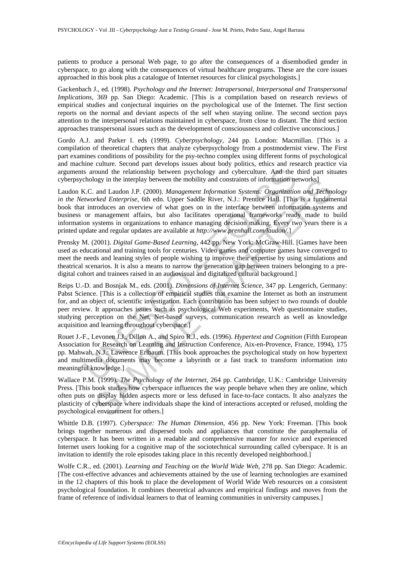patients to produce a personal Web page, to go after the consequences of a disembodied gender in cyberspace, to go along with the consequences of virtual healthcare programs. These are the core issues approached in this book plus a catalogue of Internet resources for clinical psychologists.]

Gackenbach J., ed. (1998). *Psychology and the Internet: Intrapersonal, Interpersonal and Transpersonal Implications*, 369 pp. San Diego: Academic. [This is a compilation based on research reviews of empirical studies and conjectural inquiries on the psychological use of the Internet. The first section reports on the normal and deviant aspects of the self when staying online. The second section pays attention to the interpersonal relations maintained in cyberspace, from close to distant. The third section approaches transpersonal issues such as the development of consciousness and collective unconscious.]

Gordo A.J. and Parker I. eds (1999). *Cyberpsychology,* 244 pp. London: Macmillan. [This is a compilation of theoretical chapters that analyze cyberpsychology from a postmodernist view. The First part examines conditions of possibility for the psy-techno complex using different forms of psychological and machine culture. Second part develops issues about body politics, ethics and research practice via arguments around the relationship between psychology and cyberculture. And the third part situates cyberpsychology in the interplay between the mobility and constraints of information networks]

Laudon K.C. and Laudon J.P. (2000). *Management Information Systems: Organization and Technology in the Networked Enterprise*, 6th edn. Upper Saddle River, N.J.: Prentice Hall. [This is a fundamental book that introduces an overview of what goes on in the interface between information systems and business or management affairs, but also facilitates operational frameworks ready made to build information systems in organizations to enhance managing decision making. Every two years there is a printed update and regular updates are available at *http://www.prenhall.com/laudon/*.]

Prensky M. (2001). *Digital Game-Based Learning*, 442 pp. New York: McGraw-Hill. [Games have been used as educational and training tools for centuries. Video games and computer games have converged to meet the needs and leaning styles of people wishing to improve their expertise by using simulations and theatrical scenarios. It is also a means to narrow the generation gap between trainers belonging to a predigital cohort and trainees raised in an audiovisual and digitalized cultural background.]

s around the relationship between psychology and cyberculture. And the thology in the interplay between the mobility and constraints of information ne<br>
S.C. and Laudon J.P. (2000). *Management Information Systems: Organiza* ogy in the interplay between the mobility and constraints of information networks]<br>and Laudon J.P. (2000). *Management Information Systems*: *Organitzation and Technos*<br>*rice Letterprise*, 6th edn. Upper Saddle River, N.J. Reips U.-D. and Bosnjak M., eds. (2001). *Dimensions of Internet Science*, 347 pp. Lengerich, Germany: Pabst Science. [This is a collection of empirical studies that examine the Internet as both an instrument for, and an object of, scientific investigation. Each contribution has been subject to two rounds of double peer review. It approaches issues such as psychological Web experiments, Web questionnaire studies, studying perception on the Net, Net-based surveys, communication research as well as knowledge acquisition and learning throughout cyberspace.]

Rouet J.-F., Levonen J.J., Dillon A., and Spiro R.J., eds. (1996). *Hypertext and Cognition* (Fifth European Association for Research on Learning and Instruction Conference, Aix-en-Provence, France, 1994), 175 pp. Mahwah, N.J.: Lawrence Erlbaum. [This book approaches the psychological study on how hypertext and multimedia documents may become a labyrinth or a fast track to transform information into meaningful knowledge.]

Wallace P.M. (1999). *The Psychology of the Internet*, 264 pp. Cambridge, U.K.: Cambridge University Press. [This book studies how cyberspace influences the way people behave when they are online, which often puts on display hidden aspects more or less defused in face-to-face contacts. It also analyzes the plasticity of cyberspace where individuals shape the kind of interactions accepted or refused, molding the psychological environment for others.]

Whittle D.B. (1997). *Cyberspace: The Human Dimension*, 456 pp. New York: Freeman. [This book brings together numerous and dispersed tools and appliances that constitute the paraphernalia of cyberspace. It has been written in a readable and comprehensive manner for novice and experienced Internet users looking for a cognitive map of the sociotechnical surrounding called cyberspace. It is an invitation to identify the role episodes taking place in this recently developed neighborhood.]

Wolfe C.R., ed. (2001). *Learning and Teaching on the World Wide Web*, 278 pp. San Diego: Academic. [The cost-effective advances and achievements attained by the use of learning technologies are examined in the 12 chapters of this book to place the development of World Wide Web resources on a consistent psychological foundation. It combines theoretical advances and empirical findings and moves from the frame of reference of individual learners to that of learning communities in university campuses.]